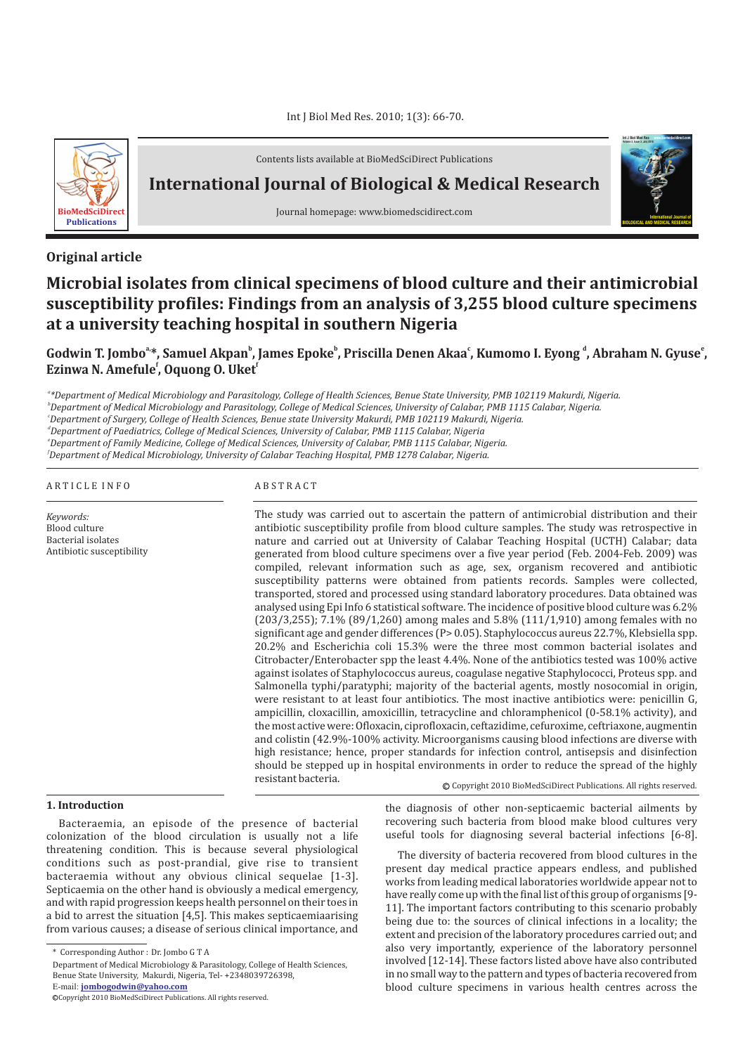

Contents lists available at BioMedSciDirect Publications

**International Journal of Biological & Medical Research**

Journal homepage: www.biomedscidirect.com

## **Original article**

# **Microbial isolates from clinical specimens of blood culture and their antimicrobial susceptibility profiles: Findings from an analysis of 3,255 blood culture specimens at a university teaching hospital in southern Nigeria**

Godwin T. Jombo<sup>a</sup>\*, Samuel Akpanʰ, James Epokeʰ, Priscilla Denen Akaaʿ, Kumomo I. Eyong <sup>d</sup>, Abraham N. Gyuse˚, **Ezinwa N. Amefule<sup>f</sup>, Oquong O. Uket<sup>f</sup>** 

*a \*Department of Medical Microbiology and Parasitology, College of Health Sciences, Benue State University, PMB 102119 Makurdi, Nigeria.*

*b Department of Medical Microbiology and Parasitology, College of Medical Sciences, University of Calabar, PMB 1115 Calabar, Nigeria.*

*c Department of Surgery, College of Health Sciences, Benue state University Makurdi, PMB 102119 Makurdi, Nigeria.*

*d Department of Paediatrics, College of Medical Sciences, University of Calabar, PMB 1115 Calabar, Nigeria*

*e Department of Family Medicine, College of Medical Sciences, University of Calabar, PMB 1115 Calabar, Nigeria.*

*f Department of Medical Microbiology, University of Calabar Teaching Hospital, PMB 1278 Calabar, Nigeria.*

#### A R T I C L E I N F O A B S T R A C T

*Keywords:* Blood culture Bacterial isolates Antibiotic susceptibility

The study was carried out to ascertain the pattern of antimicrobial distribution and their antibiotic susceptibility profile from blood culture samples. The study was retrospective in nature and carried out at University of Calabar Teaching Hospital (UCTH) Calabar; data generated from blood culture specimens over a five year period (Feb. 2004-Feb. 2009) was compiled, relevant information such as age, sex, organism recovered and antibiotic susceptibility patterns were obtained from patients records. Samples were collected, transported, stored and processed using standard laboratory procedures. Data obtained was analysed using Epi Info 6 statistical software. The incidence of positive blood culture was 6.2% (203/3,255); 7.1% (89/1,260) among males and 5.8% (111/1,910) among females with no significant age and gender differences (P> 0.05). Staphylococcus aureus 22.7%, Klebsiella spp. 20.2% and Escherichia coli 15.3% were the three most common bacterial isolates and Citrobacter/Enterobacter spp the least 4.4%. None of the antibiotics tested was 100% active against isolates of Staphylococcus aureus, coagulase negative Staphylococci, Proteus spp. and Salmonella typhi/paratyphi; majority of the bacterial agents, mostly nosocomial in origin, were resistant to at least four antibiotics. The most inactive antibiotics were: penicillin G, ampicillin, cloxacillin, amoxicillin, tetracycline and chloramphenicol (0-58.1% activity), and the most active were: Ofloxacin, ciprofloxacin, ceftazidime, cefuroxime, ceftriaxone, augmentin and colistin (42.9%-100% activity. Microorganisms causing blood infections are diverse with high resistance; hence, proper standards for infection control, antisepsis and disinfection should be stepped up in hospital environments in order to reduce the spread of the highly resistant bacteria.

Copyright 2010 BioMedSciDirect Publications. All rights reserved. c

### **1. Introduction**

Bacteraemia, an episode of the presence of bacterial colonization of the blood circulation is usually not a life threatening condition. This is because several physiological conditions such as post-prandial, give rise to transient bacteraemia without any obvious clinical sequelae [1-3]. Septicaemia on the other hand is obviously a medical emergency, and with rapid progression keeps health personnel on their toes in a bid to arrest the situation [4,5]. This makes septicaemiaarising from various causes; a disease of serious clinical importance, and

E-mail: **jombogodwin@yahoo.com**

the diagnosis of other non-septicaemic bacterial ailments by recovering such bacteria from blood make blood cultures very useful tools for diagnosing several bacterial infections [6-8].

The diversity of bacteria recovered from blood cultures in the present day medical practice appears endless, and published works from leading medical laboratories worldwide appear not to have really come up with the final list of this group of organisms [9- 11]. The important factors contributing to this scenario probably being due to: the sources of clinical infections in a locality; the extent and precision of the laboratory procedures carried out; and also very importantly, experience of the laboratory personnel involved [12-14]. These factors listed above have also contributed in no small way to the pattern and types of bacteria recovered from blood culture specimens in various health centres across the



<sup>\*</sup> Corresponding Author : Dr. Jombo G T A

Department of Medical Microbiology & Parasitology, College of Health Sciences, Benue State University, Makurdi, Nigeria, Tel- +2348039726398,

c Copyright 2010 BioMedSciDirect Publications. All rights reserved.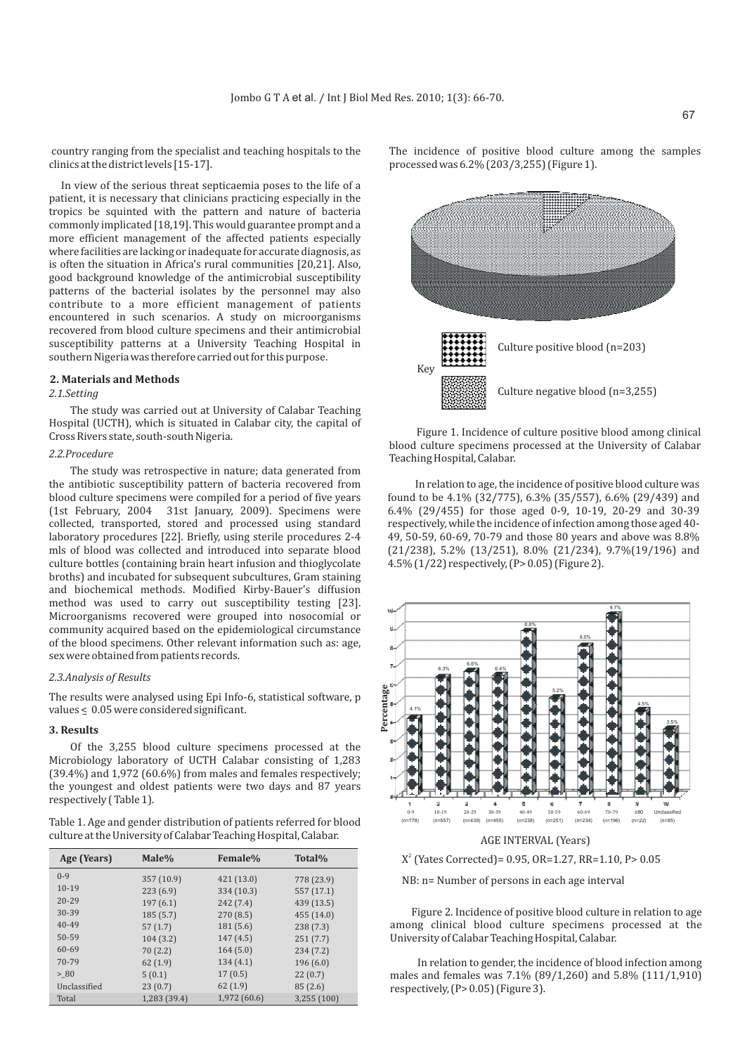country ranging from the specialist and teaching hospitals to the clinics at the district levels [15-17].

In view of the serious threat septicaemia poses to the life of a patient, it is necessary that clinicians practicing especially in the tropics be squinted with the pattern and nature of bacteria commonly implicated [18,19]. This would guarantee prompt and a more efficient management of the affected patients especially where facilities are lacking or inadequate for accurate diagnosis, as is often the situation in Africa's rural communities [20,21]. Also, good background knowledge of the antimicrobial susceptibility patterns of the bacterial isolates by the personnel may also contribute to a more efficient management of patients encountered in such scenarios. A study on microorganisms recovered from blood culture specimens and their antimicrobial susceptibility patterns at a University Teaching Hospital in southern Nigeria was therefore carried out for this purpose.

#### **2. Materials and Methods**

#### *2.1.Setting*

The study was carried out at University of Calabar Teaching Hospital (UCTH), which is situated in Calabar city, the capital of Cross Rivers state, south-south Nigeria.

#### *2.2.Procedure*

The study was retrospective in nature; data generated from the antibiotic susceptibility pattern of bacteria recovered from blood culture specimens were compiled for a period of five years (1st February, 2004 31st January, 2009). Specimens were collected, transported, stored and processed using standard laboratory procedures [22]. Briefly, using sterile procedures 2-4 mls of blood was collected and introduced into separate blood culture bottles (containing brain heart infusion and thioglycolate broths) and incubated for subsequent subcultures, Gram staining and biochemical methods. Modified Kirby-Bauer's diffusion method was used to carry out susceptibility testing [23]. Microorganisms recovered were grouped into nosocomial or community acquired based on the epidemiological circumstance of the blood specimens. Other relevant information such as: age, sex were obtained from patients records.

### *2.3.Analysis of Results*

The results were analysed using Epi Info-6, statistical software, p values  $\leq 0.05$  were considered significant.

### **3. Results**

Of the 3,255 blood culture specimens processed at the Microbiology laboratory of UCTH Calabar consisting of 1,283 (39.4%) and 1,972 (60.6%) from males and females respectively; the youngest and oldest patients were two days and 87 years respectively ( Table 1).

Table 1. Age and gender distribution of patients referred for blood culture at the University of Calabar Teaching Hospital, Calabar.

| Age (Years)  | Male%        | <b>Female%</b> | Total%      |
|--------------|--------------|----------------|-------------|
| $0-9$        | 357 (10.9)   | 421(13.0)      | 778 (23.9)  |
| $10-19$      | 223(6.9)     | 334 (10.3)     | 557 (17.1)  |
| $20 - 29$    | 197(6.1)     | 242 (7.4)      | 439 (13.5)  |
| 30-39        | 185(5.7)     | 270(8.5)       | 455 (14.0)  |
| $40 - 49$    | 57(1.7)      | 181(5.6)       | 238(7.3)    |
| 50-59        | 104(3.2)     | 147 (4.5)      | 251(7.7)    |
| 60-69        | 70(2.2)      | 164(5.0)       | 234(7.2)    |
| 70-79        | 62(1.9)      | 134(4.1)       | 196(6.0)    |
| > 80         | 5(0.1)       | 17(0.5)        | 22(0.7)     |
| Unclassified | 23(0.7)      | 62(1.9)        | 85(2.6)     |
| Total        | 1,283 (39.4) | 1,972 (60.6)   | 3,255 (100) |

The incidence of positive blood culture among the samples processed was 6.2% (203/3,255) (Figure 1).



Figure 1. Incidence of culture positive blood among clinical blood culture specimens processed at the University of Calabar Teaching Hospital, Calabar.

In relation to age, the incidence of positive blood culture was found to be 4.1% (32/775), 6.3% (35/557), 6.6% (29/439) and 6.4% (29/455) for those aged 0-9, 10-19, 20-29 and 30-39 respectively, while the incidence of infection among those aged 40- 49, 50-59, 60-69, 70-79 and those 80 years and above was 8.8% (21/238), 5.2% (13/251), 8.0% (21/234), 9.7%(19/196) and 4.5% (1/22) respectively, (P> 0.05) (Figure 2).



# $X^2$  (Yates Corrected) = 0.95, OR=1.27, RR=1.10, P > 0.05

NB: n= Number of persons in each age interval

Figure 2. Incidence of positive blood culture in relation to age among clinical blood culture specimens processed at the University of Calabar Teaching Hospital, Calabar.

In relation to gender, the incidence of blood infection among males and females was 7.1% (89/1,260) and 5.8% (111/1,910) respectively, (P> 0.05) (Figure 3).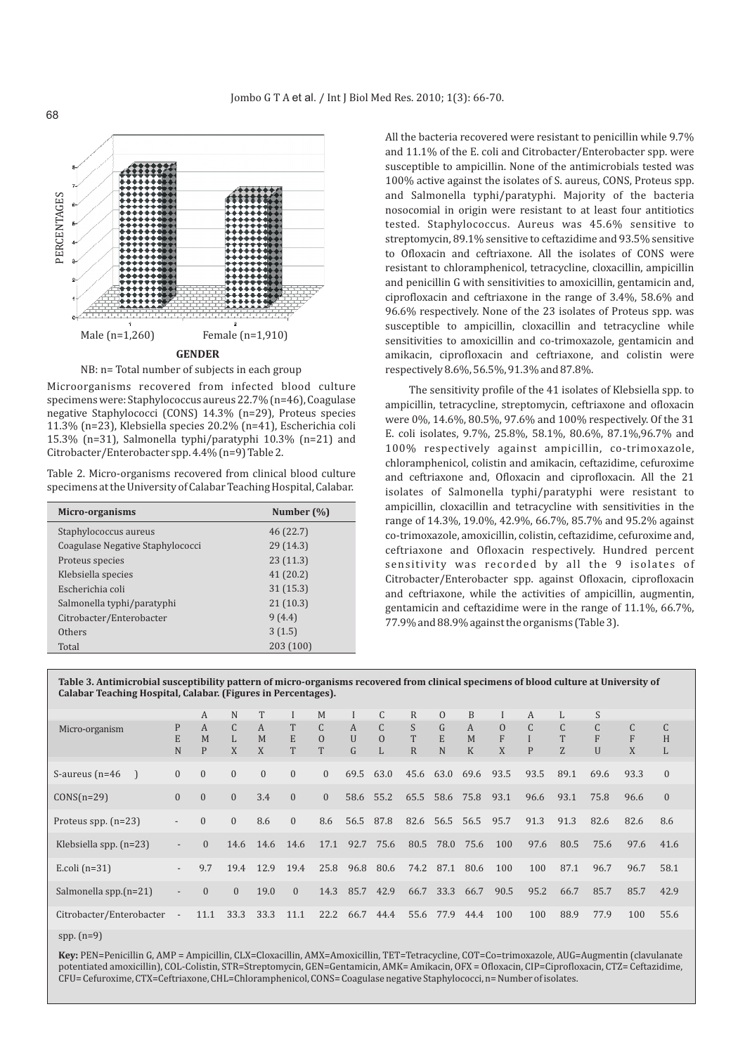

Microorganisms recovered from infected blood culture specimens were: Staphylococcus aureus 22.7% (n=46), Coagulase negative Staphylococci (CONS) 14.3% (n=29), Proteus species 11.3% (n=23), Klebsiella species 20.2% (n=41), Escherichia coli 15.3% (n=31), Salmonella typhi/paratyphi 10.3% (n=21) and Citrobacter/Enterobacter spp. 4.4% (n=9) Table 2.

Table 2. Micro-organisms recovered from clinical blood culture specimens at the University of Calabar Teaching Hospital, Calabar.

| Micro-organisms                  | Number (%) |
|----------------------------------|------------|
| Staphylococcus aureus            | 46 (22.7)  |
| Coagulase Negative Staphylococci | 29(14.3)   |
| Proteus species                  | 23(11.3)   |
| Klebsiella species               | 41(20.2)   |
| Escherichia coli                 | 31(15.3)   |
| Salmonella typhi/paratyphi       | 21(10.3)   |
| Citrobacter/Enterobacter         | 9(4.4)     |
| Others                           | 3(1.5)     |
| Total                            | 203 (100)  |

All the bacteria recovered were resistant to penicillin while 9.7% and 11.1% of the E. coli and Citrobacter/Enterobacter spp. were susceptible to ampicillin. None of the antimicrobials tested was 100% active against the isolates of S. aureus, CONS, Proteus spp. and Salmonella typhi/paratyphi. Majority of the bacteria nosocomial in origin were resistant to at least four antitiotics tested. Staphylococcus. Aureus was 45.6% sensitive to streptomycin, 89.1% sensitive to ceftazidime and 93.5% sensitive to Ofloxacin and ceftriaxone. All the isolates of CONS were resistant to chloramphenicol, tetracycline, cloxacillin, ampicillin and penicillin G with sensitivities to amoxicillin, gentamicin and, ciprofloxacin and ceftriaxone in the range of 3.4%, 58.6% and 96.6% respectively. None of the 23 isolates of Proteus spp. was susceptible to ampicillin, cloxacillin and tetracycline while sensitivities to amoxicillin and co-trimoxazole, gentamicin and amikacin, ciprofloxacin and ceftriaxone, and colistin were respectively 8.6%, 56.5%, 91.3% and 87.8%.

The sensitivity profile of the 41 isolates of Klebsiella spp. to ampicillin, tetracycline, streptomycin, ceftriaxone and ofloxacin were 0%, 14.6%, 80.5%, 97.6% and 100% respectively. Of the 31 E. coli isolates, 9.7%, 25.8%, 58.1%, 80.6%, 87.1%,96.7% and 100% respectively against ampicillin, co-trimoxazole, chloramphenicol, colistin and amikacin, ceftazidime, cefuroxime and ceftriaxone and, Ofloxacin and ciprofloxacin. All the 21 isolates of Salmonella typhi/paratyphi were resistant to ampicillin, cloxacillin and tetracycline with sensitivities in the range of 14.3%, 19.0%, 42.9%, 66.7%, 85.7% and 95.2% against co-trimoxazole, amoxicillin, colistin, ceftazidime, cefuroxime and, ceftriaxone and Ofloxacin respectively. Hundred percent sensitivity was recorded by all the 9 isolates of Citrobacter/Enterobacter spp. against Ofloxacin, ciprofloxacin and ceftriaxone, while the activities of ampicillin, augmentin, gentamicin and ceftazidime were in the range of 11.1%, 66.7%, 77.9% and 88.9% against the organisms (Table 3).

**Table 3. Antimicrobial susceptibility pattern of micro-organisms recovered from clinical specimens of blood culture at University of Calabar Teaching Hospital, Calabar. (Figures in Percentages).**

|                          |                          | A              | N                      | T            |              | M                             |                          | $\mathcal{C}$                 | $\mathbb{R}$           | $\Omega$               | <sub>B</sub>          |                        | A                 | L                      | S                      |                        |                        |
|--------------------------|--------------------------|----------------|------------------------|--------------|--------------|-------------------------------|--------------------------|-------------------------------|------------------------|------------------------|-----------------------|------------------------|-------------------|------------------------|------------------------|------------------------|------------------------|
| Micro-organism           | P<br>E<br>N              | A<br>M<br>P    | $\mathsf{C}$<br>L<br>X | A<br>M<br>X  | T<br>E<br>T  | $\mathsf{C}$<br>$\Omega$<br>T | A<br>$\overline{U}$<br>G | $\mathsf{C}$<br>$\Omega$<br>L | S<br>T<br>$\mathbb{R}$ | $\mathsf{G}$<br>E<br>N | A<br>M<br>$\mathbf K$ | $\mathbf{0}$<br>F<br>X | $\mathsf{C}$<br>P | $\mathsf{C}$<br>T<br>Z | $\mathsf{C}$<br>F<br>U | $\mathsf{C}$<br>F<br>X | $\mathsf{C}$<br>H<br>L |
| S-aureus $(n=46)$        | $\overline{0}$           | $\mathbf{0}$   | $\mathbf{0}$           | $\mathbf{0}$ | $\mathbf{0}$ | $\mathbf{0}$                  | 69.5 63.0                |                               |                        | 45.6 63.0              | 69.6                  | 93.5                   | 93.5              | 89.1                   | 69.6                   | 93.3                   | $\Omega$               |
| $CONS(n=29)$             | $\mathbf{0}$             | $\overline{0}$ | $\overline{0}$         | 3.4          | $\mathbf{0}$ | $\mathbf{0}$                  | 58.6 55.2                |                               |                        | 65.5 58.6 75.8         |                       | 93.1                   | 96.6              | 93.1                   | 75.8                   | 96.6                   | $\Omega$               |
| Proteus spp. $(n=23)$    | $\overline{\phantom{a}}$ | $\overline{0}$ | $\overline{0}$         | 8.6          | $\mathbf{0}$ | 8.6                           | 56.5 87.8                |                               | 82.6                   |                        | 56.5 56.5             | 95.7                   | 91.3              | 91.3                   | 82.6                   | 82.6                   | 8.6                    |
| Klebsiella spp. $(n=23)$ | $\overline{\phantom{0}}$ | $\Omega$       | 14.6                   | 14.6         | 14.6         | 17.1                          |                          | 92.7 75.6                     | 80.5                   | 78.0                   | 75.6                  | 100                    | 97.6              | 80.5                   | 75.6                   | 97.6                   | 41.6                   |
| E.coli $(n=31)$          | $\overline{\phantom{a}}$ | 9.7            | 19.4                   | 12.9         | 19.4         | 25.8                          | 96.8                     | 80.6                          | 74.2                   | 87.1                   | 80.6                  | 100                    | 100               | 87.1                   | 96.7                   | 96.7                   | 58.1                   |
| Salmonella spp.(n=21)    | $\overline{\phantom{a}}$ | $\Omega$       | $\Omega$               | 19.0         | $\mathbf{0}$ | 14.3                          | 85.7                     | 42.9                          | 66.7                   | 33.3                   | 66.7                  | 90.5                   | 95.2              | 66.7                   | 85.7                   | 85.7                   | 42.9                   |
| Citrobacter/Enterobacter | $\sim$                   | 11.1           | 33.3                   | 33.3         | 11.1         | 22.2                          | 66.7                     | 44.4                          |                        | 55.6 77.9              | 44.4                  | 100                    | 100               | 88.9                   | 77.9                   | 100                    | 55.6                   |

spp. (n=9)

**Key:** PEN=Penicillin G, AMP = Ampicillin, CLX=Cloxacillin, AMX=Amoxicillin, TET=Tetracycline, COT=Co=trimoxazole, AUG=Augmentin (clavulanate potentiated amoxicillin), COL-Colistin, STR=Streptomycin, GEN=Gentamicin, AMK= Amikacin, OFX = Ofloxacin, CIP=Ciprofloxacin, CTZ= Ceftazidime, CFU= Cefuroxime, CTX=Ceftriaxone, CHL=Chloramphenicol, CONS= Coagulase negative Staphylococci, n= Number of isolates.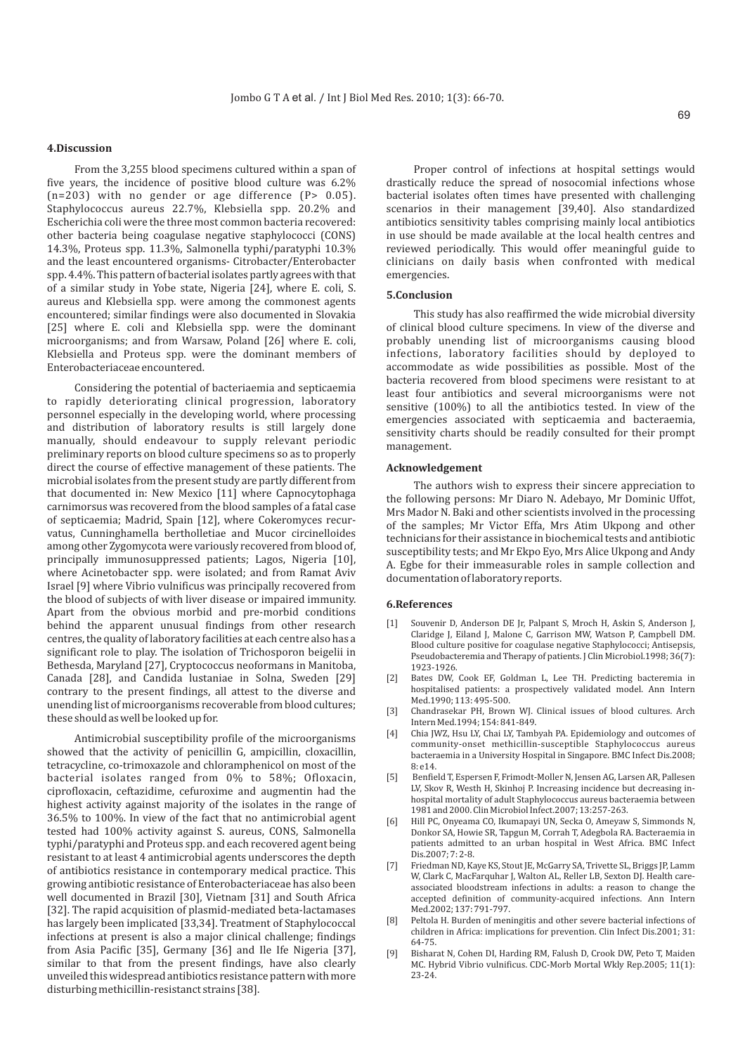#### **4.Discussion**

From the 3,255 blood specimens cultured within a span of five years, the incidence of positive blood culture was 6.2%  $(n=203)$  with no gender or age difference  $(P> 0.05)$ . Staphylococcus aureus 22.7%, Klebsiella spp. 20.2% and Escherichia coli were the three most common bacteria recovered: other bacteria being coagulase negative staphylococci (CONS) 14.3%, Proteus spp. 11.3%, Salmonella typhi/paratyphi 10.3% and the least encountered organisms- Citrobacter/Enterobacter spp. 4.4%. This pattern of bacterial isolates partly agrees with that of a similar study in Yobe state, Nigeria [24], where E. coli, S. aureus and Klebsiella spp. were among the commonest agents encountered; similar findings were also documented in Slovakia [25] where E. coli and Klebsiella spp. were the dominant microorganisms; and from Warsaw, Poland [26] where E. coli, Klebsiella and Proteus spp. were the dominant members of Enterobacteriaceae encountered.

Considering the potential of bacteriaemia and septicaemia to rapidly deteriorating clinical progression, laboratory personnel especially in the developing world, where processing and distribution of laboratory results is still largely done manually, should endeavour to supply relevant periodic preliminary reports on blood culture specimens so as to properly direct the course of effective management of these patients. The microbial isolates from the present study are partly different from that documented in: New Mexico [11] where Capnocytophaga carnimorsus was recovered from the blood samples of a fatal case of septicaemia; Madrid, Spain [12], where Cokeromyces recurvatus, Cunninghamella bertholletiae and Mucor circinelloides among other Zygomycota were variously recovered from blood of, principally immunosuppressed patients; Lagos, Nigeria [10], where Acinetobacter spp. were isolated; and from Ramat Aviv Israel [9] where Vibrio vulnificus was principally recovered from the blood of subjects of with liver disease or impaired immunity. Apart from the obvious morbid and pre-morbid conditions behind the apparent unusual findings from other research centres, the quality of laboratory facilities at each centre also has a significant role to play. The isolation of Trichosporon beigelii in Bethesda, Maryland [27], Cryptococcus neoformans in Manitoba, Canada [28], and Candida lustaniae in Solna, Sweden [29] contrary to the present findings, all attest to the diverse and unending list of microorganisms recoverable from blood cultures; these should as well be looked up for.

Antimicrobial susceptibility profile of the microorganisms showed that the activity of penicillin G, ampicillin, cloxacillin, tetracycline, co-trimoxazole and chloramphenicol on most of the bacterial isolates ranged from 0% to 58%; Ofloxacin, ciprofloxacin, ceftazidime, cefuroxime and augmentin had the highest activity against majority of the isolates in the range of 36.5% to 100%. In view of the fact that no antimicrobial agent tested had 100% activity against S. aureus, CONS, Salmonella typhi/paratyphi and Proteus spp. and each recovered agent being resistant to at least 4 antimicrobial agents underscores the depth of antibiotics resistance in contemporary medical practice. This growing antibiotic resistance of Enterobacteriaceae has also been well documented in Brazil [30], Vietnam [31] and South Africa [32]. The rapid acquisition of plasmid-mediated beta-lactamases has largely been implicated [33,34]. Treatment of Staphylococcal infections at present is also a major clinical challenge; findings from Asia Pacific [35], Germany [36] and Ile Ife Nigeria [37], similar to that from the present findings, have also clearly unveiled this widespread antibiotics resistance pattern with more disturbing methicillin-resistanct strains [38].

Proper control of infections at hospital settings would drastically reduce the spread of nosocomial infections whose bacterial isolates often times have presented with challenging scenarios in their management [39,40]. Also standardized antibiotics sensitivity tables comprising mainly local antibiotics in use should be made available at the local health centres and reviewed periodically. This would offer meaningful guide to clinicians on daily basis when confronted with medical emergencies.

#### **5.Conclusion**

This study has also reaffirmed the wide microbial diversity of clinical blood culture specimens. In view of the diverse and probably unending list of microorganisms causing blood infections, laboratory facilities should by deployed to accommodate as wide possibilities as possible. Most of the bacteria recovered from blood specimens were resistant to at least four antibiotics and several microorganisms were not sensitive (100%) to all the antibiotics tested. In view of the emergencies associated with septicaemia and bacteraemia, sensitivity charts should be readily consulted for their prompt management.

#### **Acknowledgement**

The authors wish to express their sincere appreciation to the following persons: Mr Diaro N. Adebayo, Mr Dominic Uffot, Mrs Mador N. Baki and other scientists involved in the processing of the samples; Mr Victor Effa, Mrs Atim Ukpong and other technicians for their assistance in biochemical tests and antibiotic susceptibility tests; and Mr Ekpo Eyo, Mrs Alice Ukpong and Andy A. Egbe for their immeasurable roles in sample collection and documentation of laboratory reports.

#### **6.References**

- [1] Souvenir D, Anderson DE Jr, Palpant S, Mroch H, Askin S, Anderson J, Claridge J, Eiland J, Malone C, Garrison MW, Watson P, Campbell DM. Blood culture positive for coagulase negative Staphylococci; Antisepsis, Pseudobacteremia and Therapy of patients. J Clin Microbiol.1998; 36(7): 1923-1926.
- [2] Bates DW, Cook EF, Goldman L, Lee TH. Predicting bacteremia in hospitalised patients: a prospectively validated model. Ann Intern Med.1990; 113: 495-500.
- [3] Chandrasekar PH, Brown WJ. Clinical issues of blood cultures. Arch Intern Med.1994; 154: 841-849.
- [4] Chia JWZ, Hsu LY, Chai LY, Tambyah PA. Epidemiology and outcomes of community-onset methicillin-susceptible Staphylococcus aureus bacteraemia in a University Hospital in Singapore. BMC Infect Dis.2008; 8: e14.
- [5] Benfield T, Espersen F, Frimodt-Moller N, Jensen AG, Larsen AR, Pallesen LV, Skov R, Westh H, Skinhoj P. Increasing incidence but decreasing inhospital mortality of adult Staphylococcus aureus bacteraemia between 1981 and 2000. Clin Microbiol Infect.2007; 13:257-263.
- [6] Hill PC, Onyeama CO, Ikumapayi UN, Secka O, Ameyaw S, Simmonds N, Donkor SA, Howie SR, Tapgun M, Corrah T, Adegbola RA. Bacteraemia in patients admitted to an urban hospital in West Africa. BMC Infect Dis.2007; 7: 2-8.
- [7] Friedman ND, Kaye KS, Stout JE, McGarry SA, Trivette SL, Briggs JP, Lamm W, Clark C, MacFarquhar J, Walton AL, Reller LB, Sexton DJ, Health careassociated bloodstream infections in adults: a reason to change the accepted definition of community-acquired infections. Ann Intern Med.2002; 137: 791-797.
- [8] Peltola H. Burden of meningitis and other severe bacterial infections of children in Africa: implications for prevention. Clin Infect Dis.2001; 31: 64-75.
- [9] Bisharat N, Cohen DI, Harding RM, Falush D, Crook DW, Peto T, Maiden MC. Hybrid Vibrio vulnificus. CDC-Morb Mortal Wkly Rep.2005; 11(1): 23-24.